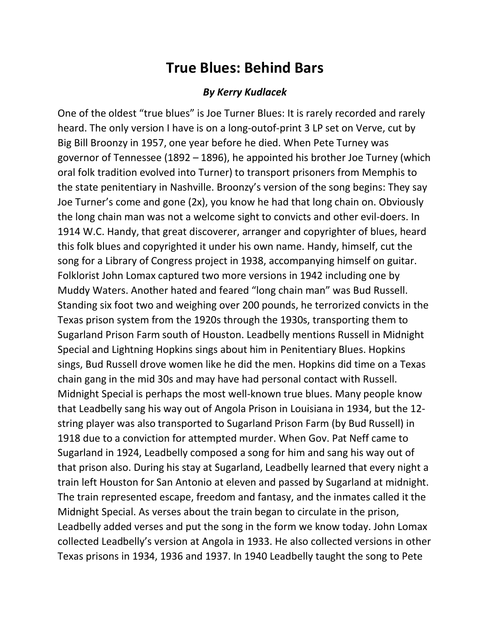## **True Blues: Behind Bars**

## *By Kerry Kudlacek*

One of the oldest "true blues" is Joe Turner Blues: It is rarely recorded and rarely heard. The only version I have is on a long-outof-print 3 LP set on Verve, cut by Big Bill Broonzy in 1957, one year before he died. When Pete Turney was governor of Tennessee (1892 – 1896), he appointed his brother Joe Turney (which oral folk tradition evolved into Turner) to transport prisoners from Memphis to the state penitentiary in Nashville. Broonzy's version of the song begins: They say Joe Turner's come and gone (2x), you know he had that long chain on. Obviously the long chain man was not a welcome sight to convicts and other evil-doers. In 1914 W.C. Handy, that great discoverer, arranger and copyrighter of blues, heard this folk blues and copyrighted it under his own name. Handy, himself, cut the song for a Library of Congress project in 1938, accompanying himself on guitar. Folklorist John Lomax captured two more versions in 1942 including one by Muddy Waters. Another hated and feared "long chain man" was Bud Russell. Standing six foot two and weighing over 200 pounds, he terrorized convicts in the Texas prison system from the 1920s through the 1930s, transporting them to Sugarland Prison Farm south of Houston. Leadbelly mentions Russell in Midnight Special and Lightning Hopkins sings about him in Penitentiary Blues. Hopkins sings, Bud Russell drove women like he did the men. Hopkins did time on a Texas chain gang in the mid 30s and may have had personal contact with Russell. Midnight Special is perhaps the most well-known true blues. Many people know that Leadbelly sang his way out of Angola Prison in Louisiana in 1934, but the 12 string player was also transported to Sugarland Prison Farm (by Bud Russell) in 1918 due to a conviction for attempted murder. When Gov. Pat Neff came to Sugarland in 1924, Leadbelly composed a song for him and sang his way out of that prison also. During his stay at Sugarland, Leadbelly learned that every night a train left Houston for San Antonio at eleven and passed by Sugarland at midnight. The train represented escape, freedom and fantasy, and the inmates called it the Midnight Special. As verses about the train began to circulate in the prison, Leadbelly added verses and put the song in the form we know today. John Lomax collected Leadbelly's version at Angola in 1933. He also collected versions in other Texas prisons in 1934, 1936 and 1937. In 1940 Leadbelly taught the song to Pete